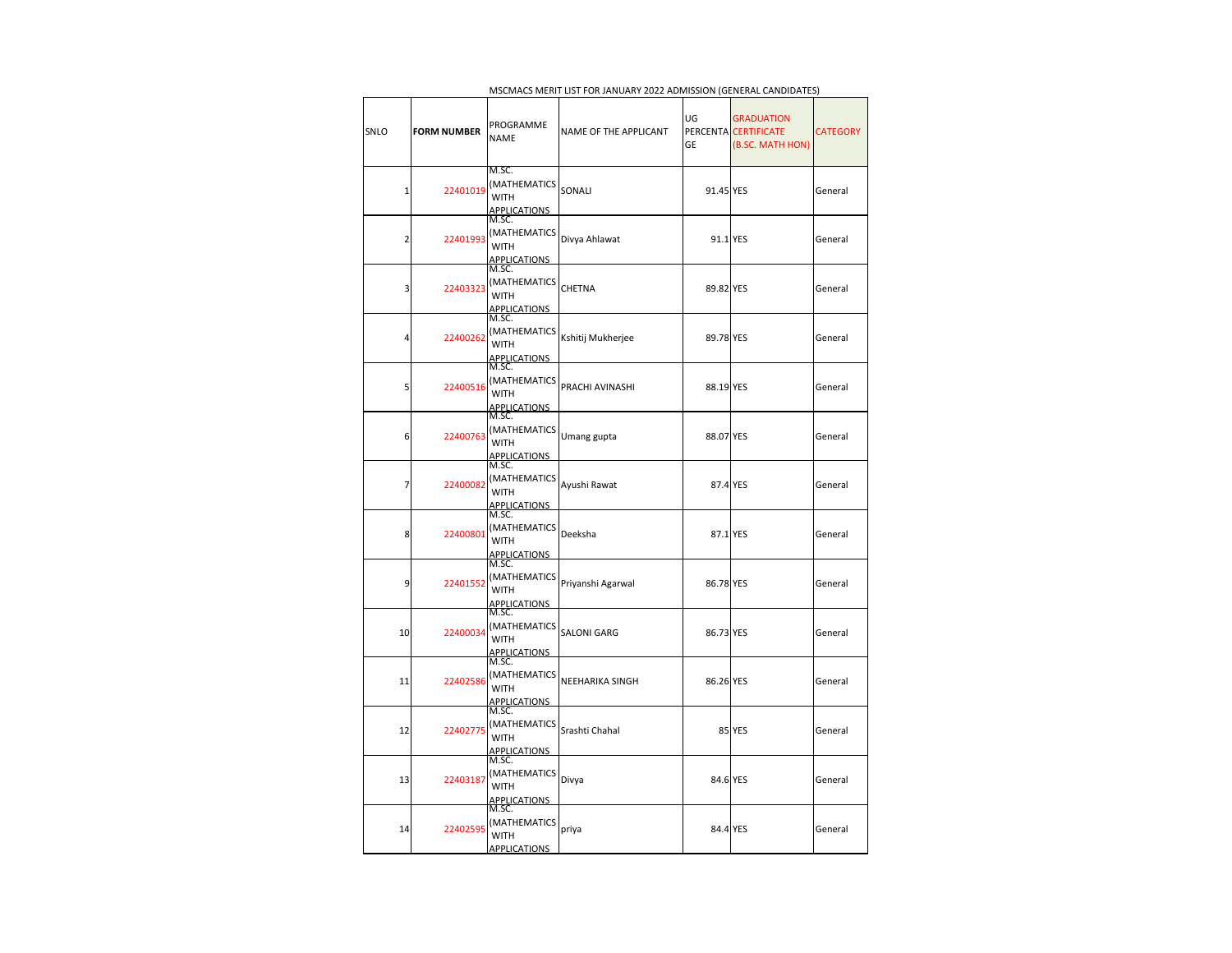|                |                    |                                                             | IVISCIVIACS IVIENTI LIST FON JAINOANT ZUZZ ADIVIISSION (GENENAL CANDIDATES) |                      |                                                             |                 |
|----------------|--------------------|-------------------------------------------------------------|-----------------------------------------------------------------------------|----------------------|-------------------------------------------------------------|-----------------|
| SNLO           | <b>FORM NUMBER</b> | PROGRAMME<br><b>NAME</b>                                    | NAME OF THE APPLICANT                                                       | UG<br>PERCENTA<br>GE | <b>GRADUATION</b><br><b>CERTIFICATE</b><br>(B.SC. MATH HON) | <b>CATEGORY</b> |
| $\mathbf{1}$   | 22401019           | M.SC.<br>(MATHEMATICS<br><b>WITH</b><br><b>APPLICATIONS</b> | SONALI                                                                      | 91.45 YES            |                                                             | General         |
| $\overline{2}$ | 22401993           | M.SC.<br>(MATHEMATICS<br><b>WITH</b><br><b>APPLICATIONS</b> | Divya Ahlawat                                                               | 91.1 YES             |                                                             | General         |
| 3              | 22403323           | M.SC.<br>(MATHEMATICS<br>WITH<br><b>APPLICATIONS</b>        | CHETNA                                                                      | 89.82 YES            |                                                             | General         |
| 4              | 22400262           | M.SC.<br>(MATHEMATICS<br>WITH<br><b>APPLICATIONS</b>        | Kshitij Mukherjee                                                           | 89.78 YES            |                                                             | General         |
| 5              | 22400516           | M.SC.<br>(MATHEMATICS<br><b>WITH</b><br><b>APPLICATIONS</b> | PRACHI AVINASHI                                                             | 88.19 YES            |                                                             | General         |
| 6              | 22400763           | M.SC.<br>(MATHEMATICS<br><b>WITH</b><br>APPLICATIONS        | Umang gupta                                                                 | 88.07 YES            |                                                             | General         |
| 7              | 22400082           | M.SC.<br>(MATHEMATICS<br><b>WITH</b><br><b>APPLICATIONS</b> | Ayushi Rawat                                                                | 87.4 YES             |                                                             | General         |
| 8              | 22400801           | M.SC.<br>(MATHEMATICS<br><b>WITH</b><br><b>APPLICATIONS</b> | Deeksha                                                                     | 87.1 YES             |                                                             | General         |
| 9              | 22401552           | M.SC.<br>(MATHEMATICS<br>WITH<br><u>APPLICATIONS</u>        | Priyanshi Agarwal                                                           | 86.78 YES            |                                                             | General         |
| 10             | 22400034           | M.SC.<br>(MATHEMATICS<br>WITH<br><b>APPLICATIONS</b>        | SALONI GARG                                                                 | 86.73 YES            |                                                             | General         |
| 11             | 22402586           | M.SC.<br>(MATHEMATICS<br><b>WITH</b><br><b>APPLICATIONS</b> | NEEHARIKA SINGH                                                             | 86.26 YES            |                                                             | General         |
| 12             | 22402775           | M.SC.<br>(MATHEMATICS<br>WITH<br><b>APPLICATIONS</b>        | Srashti Chahal                                                              |                      | 85 YES                                                      | General         |
| 13             | 22403187           | M.SC.<br>(MATHEMATICS<br><b>WITH</b><br><b>APPLICATIONS</b> | Divya                                                                       | 84.6 YES             |                                                             | General         |
| 14             | 22402595           | M.SC.<br>(MATHEMATICS<br><b>WITH</b><br><b>APPLICATIONS</b> | priya                                                                       | 84.4 YES             |                                                             | General         |

MSCMACS MERIT LIST FOR JANUARY 2022 ADMISSION (GENERAL CANDIDATES)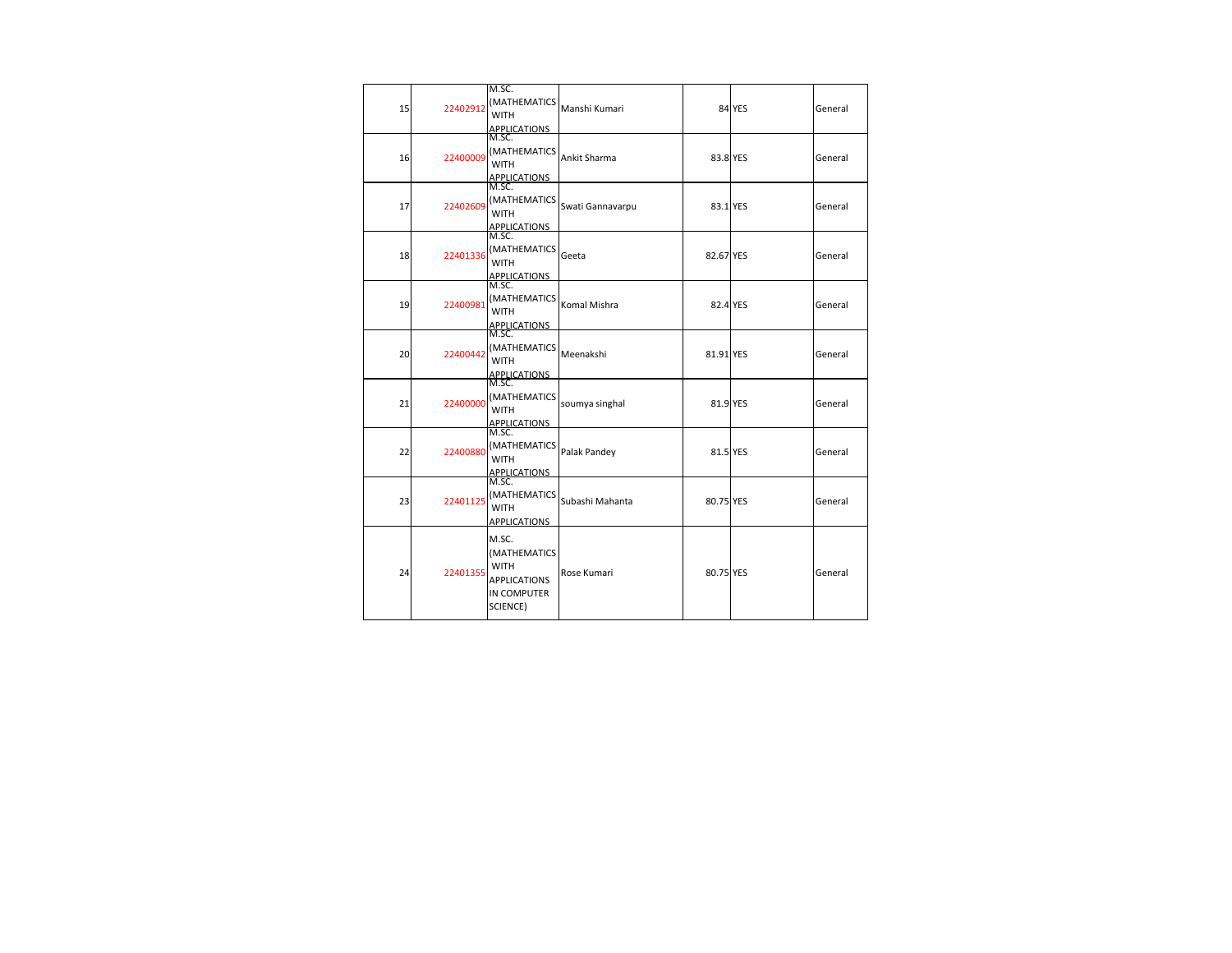| 15 | 22402912 | M.SC.<br><b>IMATHEMATICS</b><br><b>WITH</b><br><b>APPLICATIONS</b>                     | Manshi Kumari    |           | <b>84 YES</b> | General |
|----|----------|----------------------------------------------------------------------------------------|------------------|-----------|---------------|---------|
| 16 | 22400009 | M.SC.<br>(MATHEMATICS<br><b>WITH</b><br><b>APPLICATIONS</b>                            | Ankit Sharma     | 83.8 YES  |               | General |
| 17 | 22402609 | M.SC.<br>(MATHEMATICS<br><b>WITH</b><br><b>APPLICATIONS</b>                            | Swati Gannavarpu | 83.1 YES  |               | General |
| 18 | 22401336 | M.SC.<br>(MATHEMATICS<br><b>WITH</b><br><b>APPLICATIONS</b>                            | Geeta            | 82.67 YES |               | General |
| 19 | 22400981 | M.SC.<br>(MATHEMATICS<br><b>WITH</b><br><b>APPLICATIONS</b>                            | Komal Mishra     | 82.4 YES  |               | General |
| 20 | 22400442 | M.SC.<br>(MATHEMATICS<br><b>WITH</b><br><b>APPLICATIONS</b>                            | Meenakshi        | 81.91 YES |               | General |
| 21 | 22400000 | M.SC.<br>(MATHEMATICS<br><b>WITH</b><br><b>APPLICATIONS</b>                            | soumya singhal   | 81.9 YES  |               | General |
| 22 | 22400880 | M.SC.<br>(MATHEMATICS<br><b>WITH</b><br><b>APPLICATIONS</b>                            | Palak Pandey     | 81.5 YES  |               | General |
| 23 | 22401125 | M.SC.<br>(MATHEMATICS<br><b>WITH</b><br>APPLICATIONS                                   | Subashi Mahanta  | 80.75 YES |               | General |
| 24 | 22401355 | M.SC.<br>(MATHEMATICS<br><b>WITH</b><br><b>APPLICATIONS</b><br>IN COMPUTER<br>SCIENCE) | Rose Kumari      | 80.75 YES |               | General |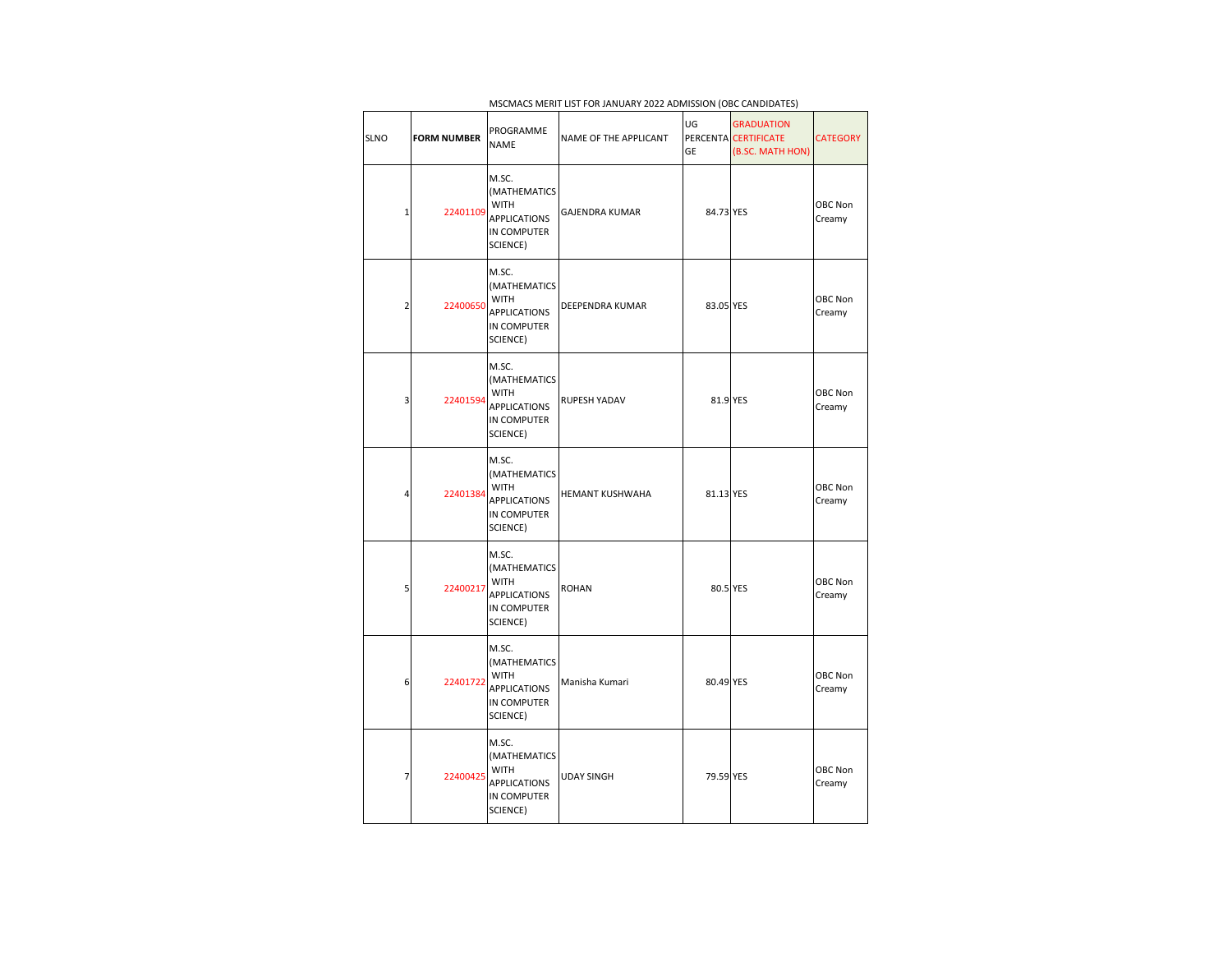| <b>SLNO</b>    | <b>FORM NUMBER</b> | PROGRAMME<br><b>NAME</b>                                                                      | NAME OF THE APPLICANT  | UG<br><b>GE</b> | <b>GRADUATION</b><br>PERCENTA CERTIFICATE<br>(B.SC. MATH HON) | <b>CATEGORY</b>   |
|----------------|--------------------|-----------------------------------------------------------------------------------------------|------------------------|-----------------|---------------------------------------------------------------|-------------------|
| $\mathbf{1}$   | 22401109           | M.SC.<br><b>(MATHEMATICS</b><br><b>WITH</b><br><b>APPLICATIONS</b><br>IN COMPUTER<br>SCIENCE) | <b>GAJENDRA KUMAR</b>  | 84.73 YES       |                                                               | OBC Non<br>Creamy |
| $\overline{2}$ | 22400650           | M.SC.<br>(MATHEMATICS<br><b>WITH</b><br><b>APPLICATIONS</b><br>IN COMPUTER<br>SCIENCE)        | <b>DEEPENDRA KUMAR</b> | 83.05 YES       |                                                               | OBC Non<br>Creamy |
| 3              | 22401594           | M.SC.<br>(MATHEMATICS<br><b>WITH</b><br><b>APPLICATIONS</b><br>IN COMPUTER<br>SCIENCE)        | RUPESH YADAV           | 81.9 YES        |                                                               | OBC Non<br>Creamy |
| 4              | 22401384           | M.SC.<br>(MATHEMATICS<br><b>WITH</b><br><b>APPLICATIONS</b><br>IN COMPUTER<br>SCIENCE)        | HEMANT KUSHWAHA        | 81.13 YES       |                                                               | OBC Non<br>Creamy |
| 5              | 22400217           | M.SC.<br>(MATHEMATICS<br><b>WITH</b><br><b>APPLICATIONS</b><br>IN COMPUTER<br>SCIENCE)        | <b>ROHAN</b>           | 80.5 YES        |                                                               | OBC Non<br>Creamy |
| 6              | 22401722           | M.SC.<br>(MATHEMATICS<br><b>WITH</b><br><b>APPLICATIONS</b><br>IN COMPUTER<br>SCIENCE)        | Manisha Kumari         | 80.49 YES       |                                                               | OBC Non<br>Creamy |
| 7              | 22400425           | M.SC.<br>(MATHEMATICS<br><b>WITH</b><br><b>APPLICATIONS</b><br>IN COMPUTER<br>SCIENCE)        | <b>UDAY SINGH</b>      | 79.59 YES       |                                                               | OBC Non<br>Creamy |

MSCMACS MERIT LIST FOR JANUARY 2022 ADMISSION (OBC CANDIDATES)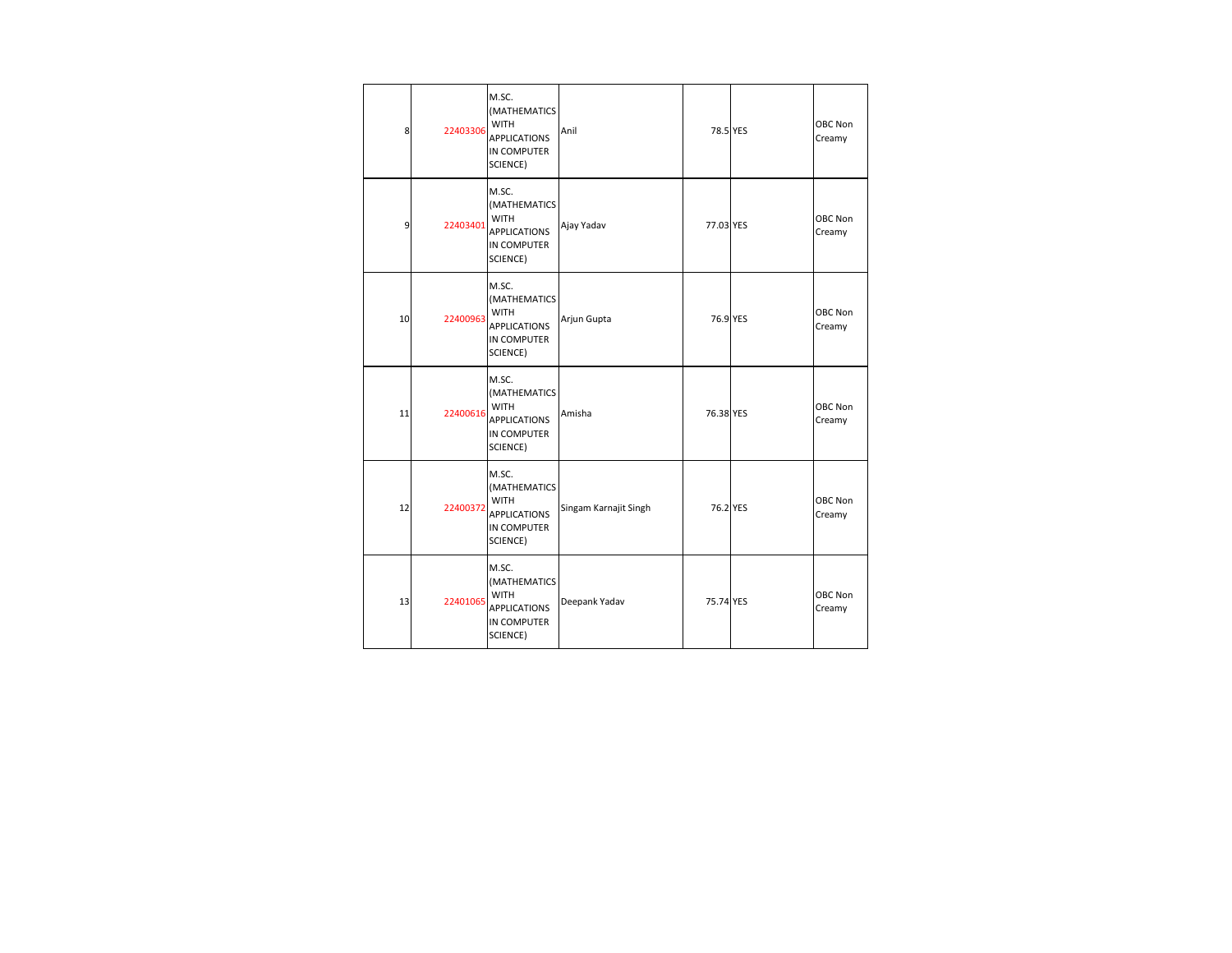| 8  | 22403306 | M.SC.<br>(MATHEMATICS<br><b>WITH</b><br><b>APPLICATIONS</b><br>IN COMPUTER<br>SCIENCE) | Anil                  | 78.5 YES  | OBC Non<br>Creamy |
|----|----------|----------------------------------------------------------------------------------------|-----------------------|-----------|-------------------|
| 9  | 22403401 | M.SC.<br>(MATHEMATICS<br><b>WITH</b><br><b>APPLICATIONS</b><br>IN COMPUTER<br>SCIENCE) | Ajay Yadav            | 77.03 YES | OBC Non<br>Creamy |
| 10 | 22400963 | M.SC.<br>(MATHEMATICS<br><b>WITH</b><br><b>APPLICATIONS</b><br>IN COMPUTER<br>SCIENCE) | Arjun Gupta           | 76.9 YES  | OBC Non<br>Creamy |
| 11 | 22400616 | M.SC.<br>(MATHEMATICS<br><b>WITH</b><br><b>APPLICATIONS</b><br>IN COMPUTER<br>SCIENCE) | Amisha                | 76.38 YES | OBC Non<br>Creamy |
| 12 | 22400372 | M.SC.<br>(MATHEMATICS<br><b>WITH</b><br><b>APPLICATIONS</b><br>IN COMPUTER<br>SCIENCE) | Singam Karnajit Singh | 76.2 YES  | OBC Non<br>Creamy |
| 13 | 22401065 | M.SC.<br>(MATHEMATICS<br><b>WITH</b><br><b>APPLICATIONS</b><br>IN COMPUTER<br>SCIENCE) | Deepank Yadav         | 75.74 YES | OBC Non<br>Creamy |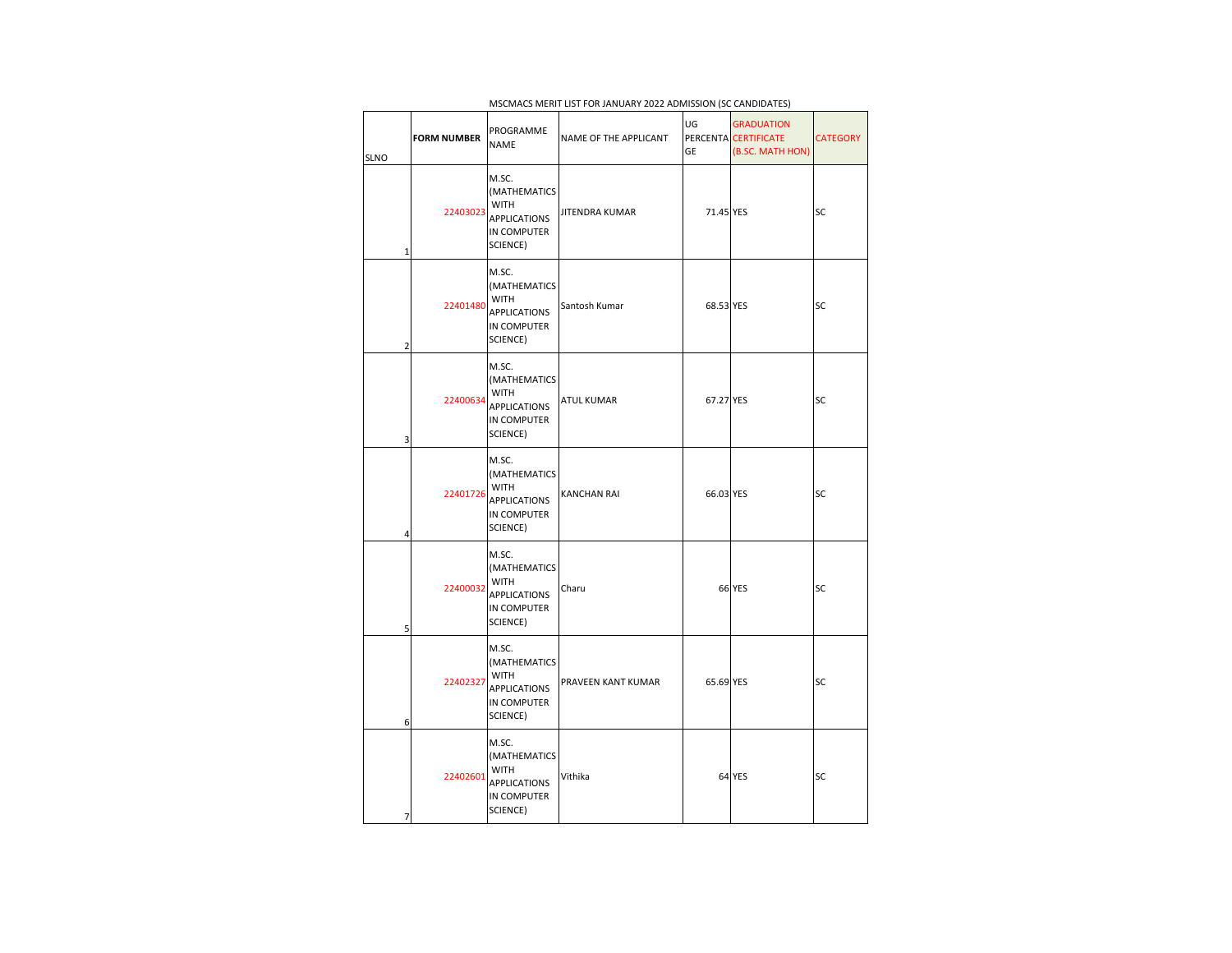| <b>SLNO</b> |                | <b>FORM NUMBER</b> | PROGRAMME<br><b>NAME</b>                                                               | NAME OF THE APPLICANT | UG<br>GE  | <b>GRADUATION</b><br>PERCENTA CERTIFICATE<br>(B.SC. MATH HON) | <b>CATEGORY</b> |
|-------------|----------------|--------------------|----------------------------------------------------------------------------------------|-----------------------|-----------|---------------------------------------------------------------|-----------------|
|             | 1              | 22403023           | M.SC.<br>(MATHEMATICS<br><b>WITH</b><br><b>APPLICATIONS</b><br>IN COMPUTER<br>SCIENCE) | <b>JITENDRA KUMAR</b> | 71.45 YES |                                                               | SC              |
|             | $\overline{2}$ | 22401480           | M.SC.<br>(MATHEMATICS<br><b>WITH</b><br><b>APPLICATIONS</b><br>IN COMPUTER<br>SCIENCE) | Santosh Kumar         | 68.53 YES |                                                               | SC              |
|             | 3              | 22400634           | M.SC.<br>(MATHEMATICS<br><b>WITH</b><br><b>APPLICATIONS</b><br>IN COMPUTER<br>SCIENCE) | <b>ATUL KUMAR</b>     | 67.27 YES |                                                               | SC              |
|             | 4              | 22401726           | M.SC.<br>(MATHEMATICS<br><b>WITH</b><br><b>APPLICATIONS</b><br>IN COMPUTER<br>SCIENCE) | KANCHAN RAI           | 66.03 YES |                                                               | SC              |
|             | 5              | 22400032           | M.SC.<br>(MATHEMATICS<br><b>WITH</b><br><b>APPLICATIONS</b><br>IN COMPUTER<br>SCIENCE) | Charu                 |           | <b>66 YES</b>                                                 | SC              |
|             | 6              | 22402327           | M.SC.<br>(MATHEMATICS<br><b>WITH</b><br><b>APPLICATIONS</b><br>IN COMPUTER<br>SCIENCE) | PRAVEEN KANT KUMAR    | 65.69 YES |                                                               | <b>SC</b>       |
|             | 7              | 22402601           | M.SC.<br>(MATHEMATICS<br><b>WITH</b><br><b>APPLICATIONS</b><br>IN COMPUTER<br>SCIENCE) | Vithika               |           | 64 YES                                                        | SC              |

MSCMACS MERIT LIST FOR JANUARY 2022 ADMISSION (SC CANDIDATES)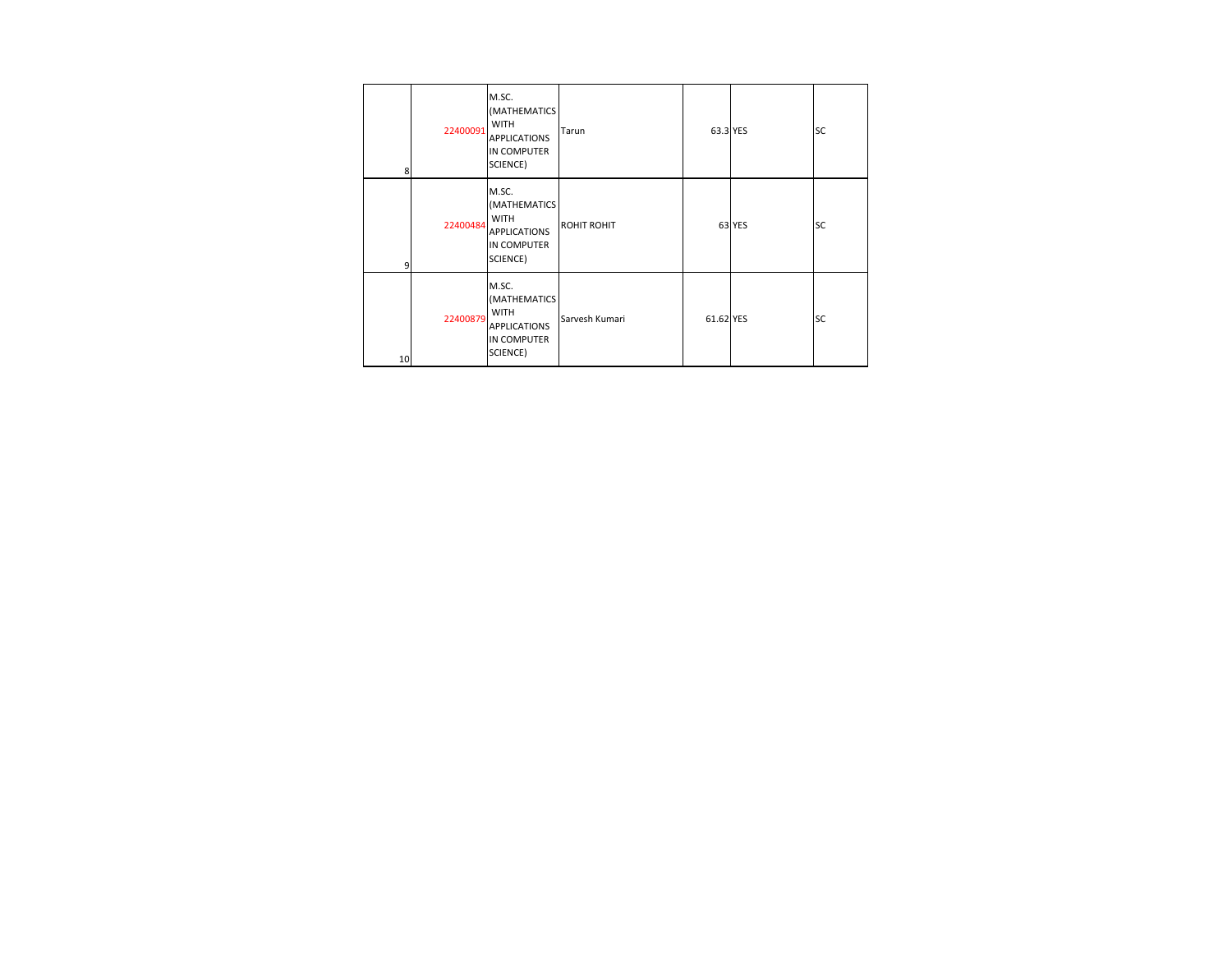| 8  | 22400091 | M.SC.<br>(MATHEMATICS<br><b>WITH</b><br><b>APPLICATIONS</b><br><b>IN COMPUTER</b><br>SCIENCE) | Tarun              | 63.3 YES  |        | <b>SC</b> |
|----|----------|-----------------------------------------------------------------------------------------------|--------------------|-----------|--------|-----------|
| 9  | 22400484 | M.SC.<br>(MATHEMATICS<br><b>WITH</b><br><b>APPLICATIONS</b><br><b>IN COMPUTER</b><br>SCIENCE) | <b>ROHIT ROHIT</b> |           | 63 YES | <b>SC</b> |
| 10 | 22400879 | M.SC.<br>(MATHEMATICS<br><b>WITH</b><br><b>APPLICATIONS</b><br><b>IN COMPUTER</b><br>SCIENCE) | Sarvesh Kumari     | 61.62 YES |        | <b>SC</b> |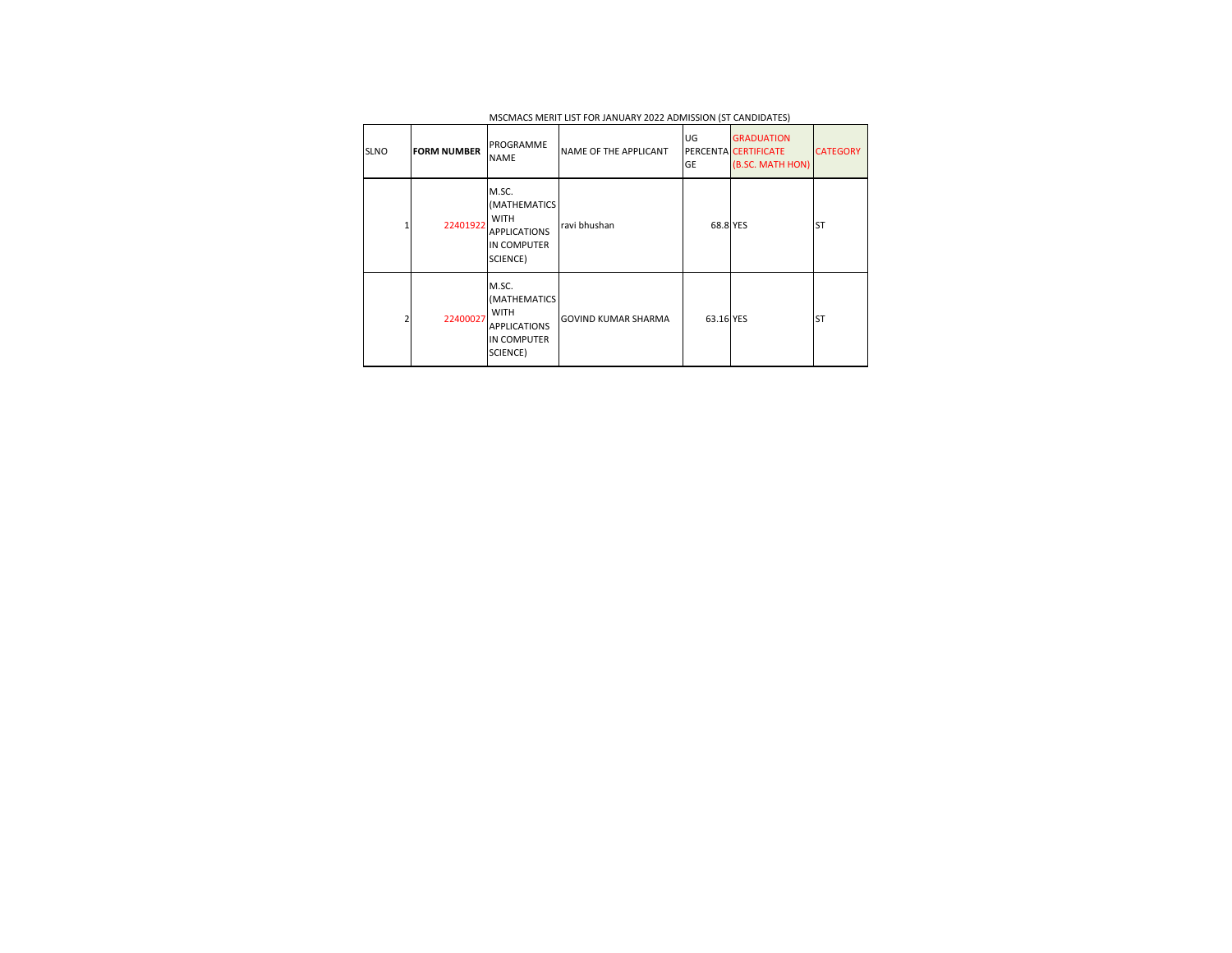| <b>SLNO</b> | <b>FORM NUMBER</b> | PROGRAMME<br><b>NAME</b>                                                                      | NAME OF THE APPLICANT      | UG<br>GE  | <b>GRADUATION</b><br>PERCENTA CERTIFICATE<br>(B.SC. MATH HON) | <b>CATEGORY</b> |
|-------------|--------------------|-----------------------------------------------------------------------------------------------|----------------------------|-----------|---------------------------------------------------------------|-----------------|
|             | 22401922           | M.SC.<br>(MATHEMATICS<br><b>WITH</b><br><b>APPLICATIONS</b><br><b>IN COMPUTER</b><br>SCIENCE) | ravi bhushan               | 68.8 YES  |                                                               | ST              |
|             | 22400027           | M.SC.<br>(MATHEMATICS<br><b>WITH</b><br><b>APPLICATIONS</b><br><b>IN COMPUTER</b><br>SCIENCE) | <b>GOVIND KUMAR SHARMA</b> | 63.16 YES |                                                               | ST              |

MSCMACS MERIT LIST FOR JANUARY 2022 ADMISSION (ST CANDIDATES)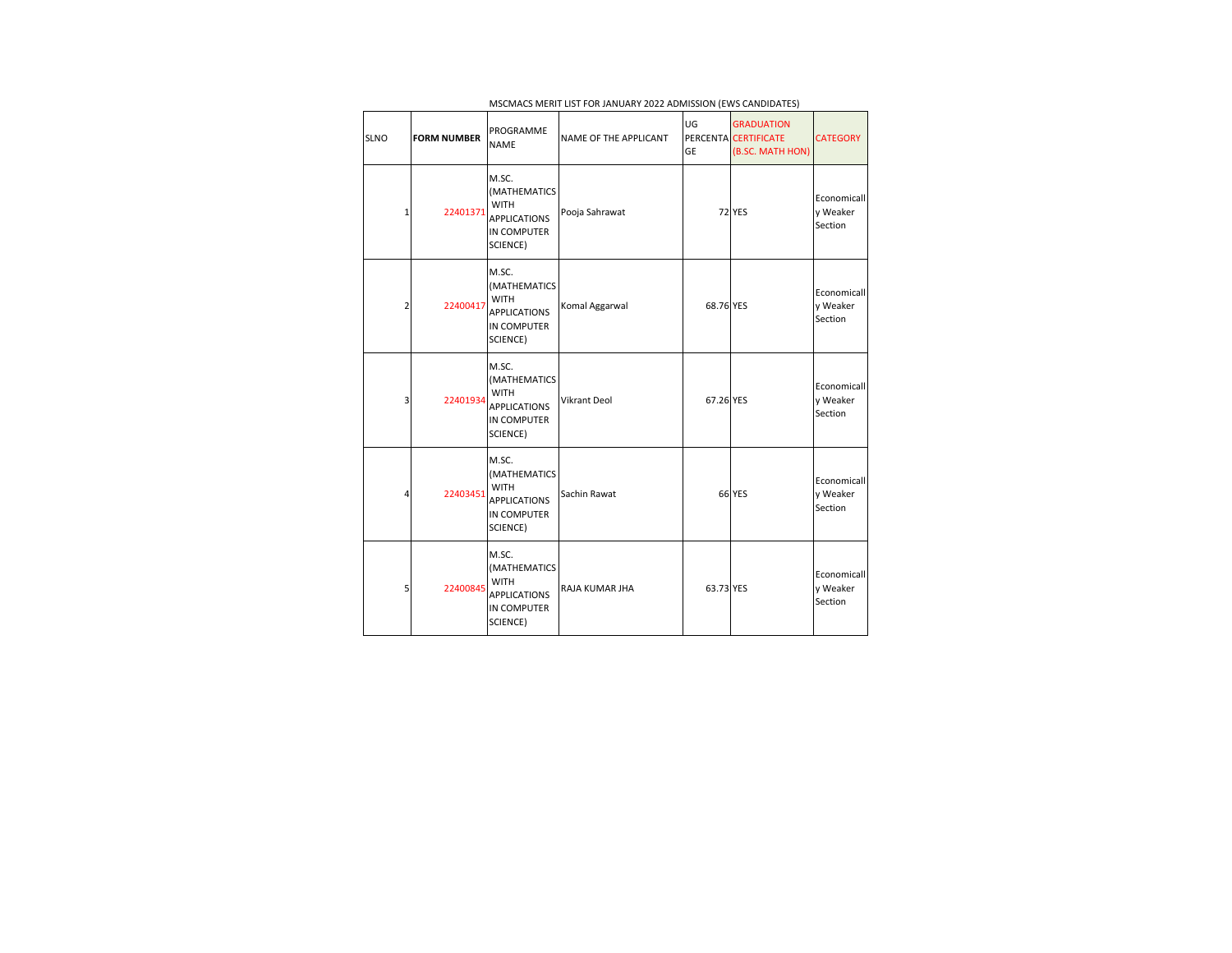| <b>SLNO</b> | <b>FORM NUMBER</b> | PROGRAMME<br><b>NAME</b>                                                               | NAME OF THE APPLICANT | UG<br>GE  | <b>GRADUATION</b><br>PERCENTA CERTIFICATE<br>(B.SC. MATH HON) | <b>CATEGORY</b>                    |
|-------------|--------------------|----------------------------------------------------------------------------------------|-----------------------|-----------|---------------------------------------------------------------|------------------------------------|
| 1           | 22401371           | M.SC.<br>(MATHEMATICS<br><b>WITH</b><br><b>APPLICATIONS</b><br>IN COMPUTER<br>SCIENCE) | Pooja Sahrawat        |           | <b>72 YES</b>                                                 | Economicall<br>y Weaker<br>Section |
| 2           | 22400417           | M.SC.<br>(MATHEMATICS<br><b>WITH</b><br><b>APPLICATIONS</b><br>IN COMPUTER<br>SCIENCE) | Komal Aggarwal        | 68.76 YES |                                                               | Economicall<br>y Weaker<br>Section |
| 3           | 22401934           | M.SC.<br>(MATHEMATICS<br><b>WITH</b><br><b>APPLICATIONS</b><br>IN COMPUTER<br>SCIENCE) | <b>Vikrant Deol</b>   | 67.26 YES |                                                               | Economicall<br>y Weaker<br>Section |
| 4           | 22403451           | M.SC.<br>(MATHEMATICS<br><b>WITH</b><br><b>APPLICATIONS</b><br>IN COMPUTER<br>SCIENCE) | Sachin Rawat          |           | <b>66 YES</b>                                                 | Economicall<br>y Weaker<br>Section |
| 5           | 22400845           | M.SC.<br>(MATHEMATICS<br><b>WITH</b><br><b>APPLICATIONS</b><br>IN COMPUTER<br>SCIENCE) | RAJA KUMAR JHA        | 63.73 YES |                                                               | Economicall<br>y Weaker<br>Section |

MSCMACS MERIT LIST FOR JANUARY 2022 ADMISSION (EWS CANDIDATES)